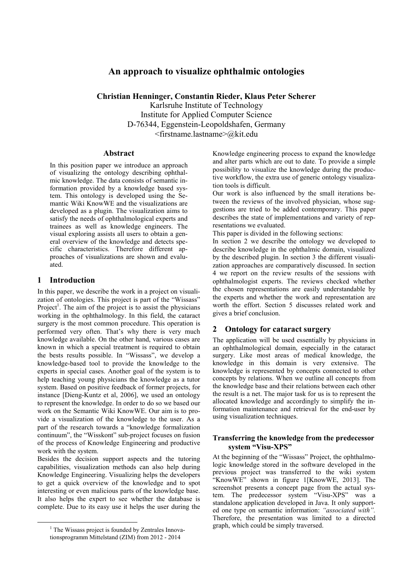# An approach to visualize ophthalmic ontologies

Christian Henninger, Constantin Rieder, Klaus Peter Scherer Karlsruhe Institute of Technology

Institute for Applied Computer Science D-76344, Eggenstein-Leopoldshafen, Germany <firstname.lastname>@kit.edu

## Abstract

In this position paper we introduce an approach of visualizing the ontology describing ophthalmic knowledge. The data consists of semantic information provided by a knowledge based system. This ontology is developed using the Semantic Wiki KnowWE and the visualizations are developed as a plugin. The visualization aims to satisfy the needs of ophthalmological experts and trainees as well as knowledge engineers. The visual exploring assists all users to obtain a general overview of the knowledge and detects specific characteristics. Therefore different approaches of visualizations are shown and evaluated.

## 1 Introduction

In this paper, we describe the work in a project on visualization of ontologies. This project is part of the "Wissass" Project<sup>1</sup>. The aim of the project is to assist the physicians working in the ophthalmology. In this field, the cataract surgery is the most common procedure. This operation is performed very often. That's why there is very much knowledge available. On the other hand, various cases are known in which a special treatment is required to obtain the bests results possible. In "Wissass", we develop a knowledge-based tool to provide the knowledge to the experts in special cases. Another goal of the system is to help teaching young physicians the knowledge as a tutor system. Based on positive feedback of former projects, for instance [Dieng-Kuntz et al, 2006], we used an ontology to represent the knowledge. In order to do so we based our work on the Semantic Wiki KnowWE. Our aim is to provide a visualization of the knowledge to the user. As a part of the research towards a "knowledge formalization continuum", the "Wisskont" sub-project focuses on fusion of the process of Knowledge Engineering and productive work with the system.

Besides the decision support aspects and the tutoring capabilities, visualization methods can also help during Knowledge Engineering. Visualizing helps the developers to get a quick overview of the knowledge and to spot interesting or even malicious parts of the knowledge base. It also helps the expert to see whether the database is complete. Due to its easy use it helps the user during the

Knowledge engineering process to expand the knowledge and alter parts which are out to date. To provide a simple possibility to visualize the knowledge during the productive workflow, the extra use of generic ontology visualization tools is difficult.

Our work is also influenced by the small iterations between the reviews of the involved physician, whose suggestions are tried to be added contemporary. This paper describes the state of implementations and variety of representations we evaluated.

This paper is divided in the following sections:

In section 2 we describe the ontology we developed to describe knowledge in the ophthalmic domain, visualized by the described plugin. In section 3 the different visualization approaches are comparatively discussed. In section 4 we report on the review results of the sessions with ophthalmologist experts. The reviews checked whether the chosen representations are easily understandable by the experts and whether the work and representation are worth the effort. Section 5 discusses related work and gives a brief conclusion.

## 2 Ontology for cataract surgery

The application will be used essentially by physicians in an ophthalmological domain, especially in the cataract surgery. Like most areas of medical knowledge, the knowledge in this domain is very extensive. The knowledge is represented by concepts connected to other concepts by relations. When we outline all concepts from the knowledge base and their relations between each other the result is a net. The major task for us is to represent the allocated knowledge and accordingly to simplify the information maintenance and retrieval for the end-user by using visualization techniques.

## Transferring the knowledge from the predecessor system "Visu-XPS"

At the beginning of the "Wissass" Project, the ophthalmologic knowledge stored in the software developed in the previous project was transferred to the wiki system "KnowWE" shown in figure 1[KnowWE, 2013]. The screenshot presents a concept page from the actual system. The predecessor system "Visu-XPS" was a standalone application developed in Java. It only supported one type on semantic information: *"associated with".*  Therefore, the presentation was limited to a directed graph, which could be simply traversed.

 $<sup>1</sup>$  The Wissass project is founded by Zentrales Innova-</sup> tionsprogramm Mittelstand (ZIM) from 2012 - 2014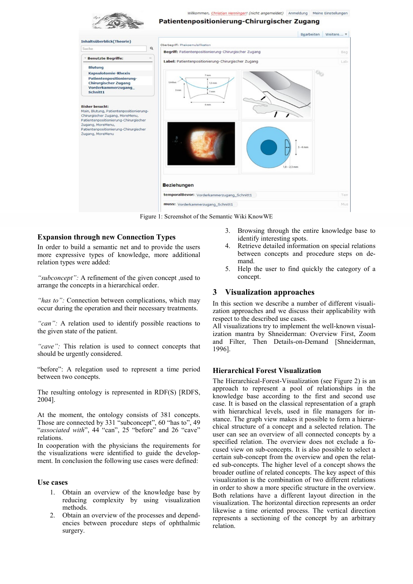

Figure 1: Screenshot of the Semantic Wiki KnowWE

#### Expansion through new Connection Types

In order to build a semantic net and to provide the users more expressive types of knowledge, more additional relation types were added:

*"subconcept":* A refinement of the given concept ,used to arrange the concepts in a hierarchical order.

*"has to":* Connection between complications, which may occur during the operation and their necessary treatments.

*"can":* A relation used to identify possible reactions to the given state of the patient.

*"cave":* This relation is used to connect concepts that should be urgently considered.

"before": A relegation used to represent a time period between two concepts.

The resulting ontology is represented in RDF(S) [RDFS, 2004].

At the moment, the ontology consists of 381 concepts. Those are connected by 331 "subconcept", 60 "has to", 49 "*associated with*", 44 "can", 25 "before" and 26 "cave" relations.

In cooperation with the physicians the requirements for the visualizations were identified to guide the development. In conclusion the following use cases were defined:

#### Use cases

- 1. Obtain an overview of the knowledge base by reducing complexity by using visualization methods.
- 2. Obtain an overview of the processes and dependencies between procedure steps of ophthalmic surgery.
- 3. Browsing through the entire knowledge base to identify interesting spots.
- 4. Retrieve detailed information on special relations between concepts and procedure steps on demand.
- 5. Help the user to find quickly the category of a concept.

### 3 Visualization approaches

In this section we describe a number of different visualization approaches and we discuss their applicability with respect to the described use cases.

All visualizations try to implement the well-known visualization mantra by Shneiderman: Overview First, Zoom and Filter, Then Details-on-Demand [Shneiderman, 1996].

#### Hierarchical Forest Visualization

The Hierarchical-Forest-Visualization (see Figure 2) is an approach to represent a pool of relationships in the knowledge base according to the first and second use case. It is based on the classical representation of a graph with hierarchical levels, used in file managers for instance. The graph view makes it possible to form a hierarchical structure of a concept and a selected relation. The user can see an overview of all connected concepts by a specified relation. The overview does not exclude a focused view on sub-concepts. It is also possible to select a certain sub-concept from the overview and open the related sub-concepts. The higher level of a concept shows the broader outline of related concepts. The key aspect of this visualization is the combination of two different relations in order to show a more specific structure in the overview. Both relations have a different layout direction in the visualization. The horizontal direction represents an order likewise a time oriented process. The vertical direction represents a sectioning of the concept by an arbitrary relation.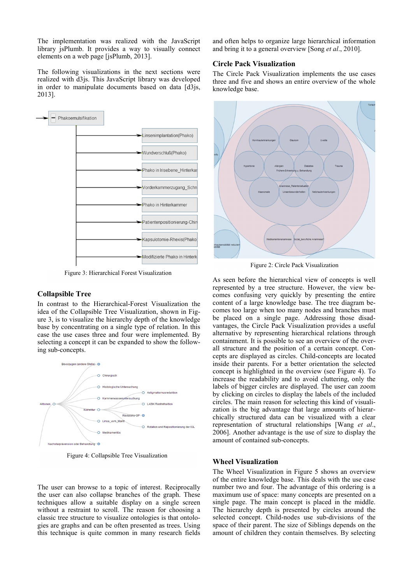The implementation was realized with the JavaScript library jsPlumb. It provides a way to visually connect elements on a web page [jsPlumb, 2013].

The following visualizations in the next sections were realized with d3js. This JavaScript library was developed in order to manipulate documents based on data [d3js, 2013].



Figure 3: Hierarchical Forest Visualization

### Collapsible Tree

In contrast to the Hierarchical-Forest Visualization the idea of the Collapsible Tree Visualization, shown in Figure 3, is to visualize the hierarchy depth of the knowledge base by concentrating on a single type of relation. In this case the use cases three and four were implemented. By selecting a concept it can be expanded to show the following sub-concepts.



Figure 4: Collapsible Tree Visualization

The user can browse to a topic of interest. Reciprocally the user can also collapse branches of the graph. These techniques allow a suitable display on a single screen without a restraint to scroll. The reason for choosing a classic tree structure to visualize ontologies is that ontologies are graphs and can be often presented as trees. Using this technique is quite common in many research fields and often helps to organize large hierarchical information and bring it to a general overview [Song *et al*., 2010].

#### Circle Pack Visualization

The Circle Pack Visualization implements the use cases three and five and shows an entire overview of the whole knowledge base.



Figure 2: Circle Pack Visualization

As seen before the hierarchical view of concepts is well represented by a tree structure. However, the view becomes confusing very quickly by presenting the entire content of a large knowledge base. The tree diagram becomes too large when too many nodes and branches must be placed on a single page. Addressing those disadvantages, the Circle Pack Visualization provides a useful alternative by representing hierarchical relations through containment. It is possible to see an overview of the overall structure and the position of a certain concept. Concepts are displayed as circles. Child-concepts are located inside their parents. For a better orientation the selected concept is highlighted in the overview (see Figure 4). To increase the readability and to avoid cluttering, only the labels of bigger circles are displayed. The user can zoom by clicking on circles to display the labels of the included circles. The main reason for selecting this kind of visualization is the big advantage that large amounts of hierarchically structured data can be visualized with a clear representation of structural relationships [Wang *et al*., 2006]. Another advantage is the use of size to display the amount of contained sub-concepts.

#### Wheel Visualization

The Wheel Visualization in Figure 5 shows an overview of the entire knowledge base. This deals with the use case number two and four. The advantage of this ordering is a maximum use of space: many concepts are presented on a single page. The main concept is placed in the middle. The hierarchy depth is presented by circles around the selected concept. Child-nodes use sub-divisions of the space of their parent. The size of Siblings depends on the amount of children they contain themselves. By selecting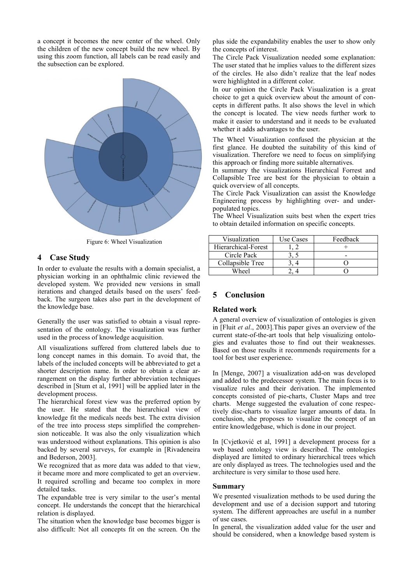a concept it becomes the new center of the wheel. Only the children of the new concept build the new wheel. By using this zoom function, all labels can be read easily and the subsection can be explored.



Figure 6: Wheel Visualization

## 4 Case Study

In order to evaluate the results with a domain specialist, a physician working in an ophthalmic clinic reviewed the developed system. We provided new versions in small iterations and changed details based on the users' feedback. The surgeon takes also part in the development of the knowledge base.

Generally the user was satisfied to obtain a visual representation of the ontology. The visualization was further used in the process of knowledge acquisition.

All visualizations suffered from cluttered labels due to long concept names in this domain. To avoid that, the labels of the included concepts will be abbreviated to get a shorter description name. In order to obtain a clear arrangement on the display further abbreviation techniques described in [Stum et al, 1991] will be applied later in the development process.

The hierarchical forest view was the preferred option by the user. He stated that the hierarchical view of knowledge fit the medicals needs best. The extra division of the tree into process steps simplified the comprehension noticeable. It was also the only visualization which was understood without explanations. This opinion is also backed by several surveys, for example in [Rivadeneira and Bederson, 2003].

We recognized that as more data was added to that view. it became more and more complicated to get an overview. It required scrolling and became too complex in more detailed tasks.

The expandable tree is very similar to the user's mental concept. He understands the concept that the hierarchical relation is displayed.

The situation when the knowledge base becomes bigger is also difficult: Not all concepts fit on the screen. On the plus side the expandability enables the user to show only the concepts of interest.

The Circle Pack Visualization needed some explanation: The user stated that he implies values to the different sizes of the circles. He also didn't realize that the leaf nodes were highlighted in a different color.

In our opinion the Circle Pack Visualization is a great choice to get a quick overview about the amount of concepts in different paths. It also shows the level in which the concept is located. The view needs further work to make it easier to understand and it needs to be evaluated whether it adds advantages to the user.

The Wheel Visualization confused the physician at the first glance. He doubted the suitability of this kind of visualization. Therefore we need to focus on simplifying this approach or finding more suitable alternatives.

In summary the visualizations Hierarchical Forrest and Collapsible Tree are best for the physician to obtain a quick overview of all concepts.

The Circle Pack Visualization can assist the Knowledge Engineering process by highlighting over- and underpopulated topics.

The Wheel Visualization suits best when the expert tries to obtain detailed information on specific concepts.

| Visualization       | Use Cases | Feedback |
|---------------------|-----------|----------|
| Hierarchical-Forest |           |          |
| Circle Pack         |           |          |
| Collapsible Tree    |           |          |
| Wheel               |           |          |

## 5 Conclusion

#### Related work

A general overview of visualization of ontologies is given in [Fluit *et al*., 2003].This paper gives an overview of the current state-of-the-art tools that help visualizing ontologies and evaluates those to find out their weaknesses. Based on those results it recommends requirements for a tool for best user experience.

In [Menge, 2007] a visualization add-on was developed and added to the predecessor system. The main focus is to visualize rules and their derivation. The implemented concepts consisted of pie-charts, Cluster Maps and tree charts. Menge suggested the evaluation of cone respectively disc-charts to visualize larger amounts of data. In conclusion, she proposes to visualize the concept of an entire knowledgebase, which is done in our project.

In [Cvjetković et al, 1991] a development process for a web based ontology view is described. The ontologies displayed are limited to ordinary hierarchical trees which are only displayed as trees. The technologies used and the architecture is very similar to those used here.

#### Summary

We presented visualization methods to be used during the development and use of a decision support and tutoring system. The different approaches are useful in a number of use cases.

In general, the visualization added value for the user and should be considered, when a knowledge based system is